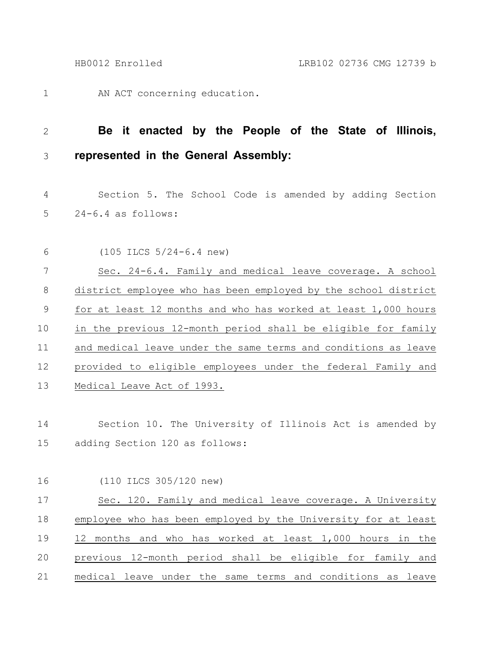AN ACT concerning education. 1

## **Be it enacted by the People of the State of Illinois, represented in the General Assembly:** 2 3

Section 5. The School Code is amended by adding Section 24-6.4 as follows: 4 5

(105 ILCS 5/24-6.4 new) 6

Sec. 24-6.4. Family and medical leave coverage. A school district employee who has been employed by the school district for at least 12 months and who has worked at least 1,000 hours in the previous 12-month period shall be eligible for family and medical leave under the same terms and conditions as leave provided to eligible employees under the federal Family and Medical Leave Act of 1993. 7 8 9 10 11 12 13

Section 10. The University of Illinois Act is amended by adding Section 120 as follows: 14 15

(110 ILCS 305/120 new) 16

Sec. 120. Family and medical leave coverage. A University employee who has been employed by the University for at least 12 months and who has worked at least 1,000 hours in the previous 12-month period shall be eligible for family and medical leave under the same terms and conditions as leave 17 18 19 20 21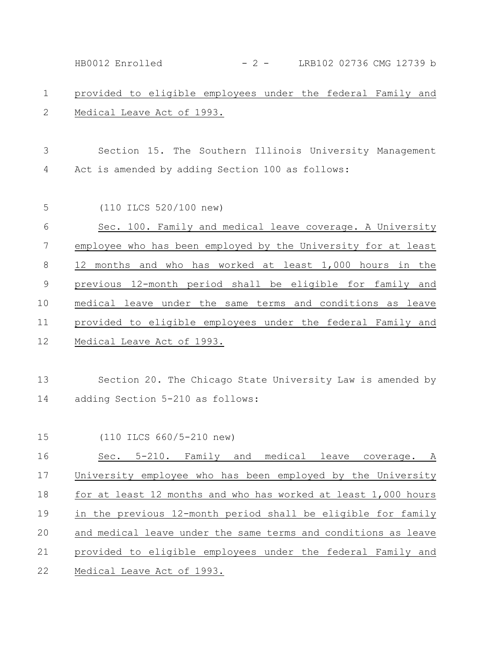provided to eligible employees under the federal Family and Medical Leave Act of 1993. Section 15. The Southern Illinois University Management Act is amended by adding Section 100 as follows: (110 ILCS 520/100 new) Sec. 100. Family and medical leave coverage. A University employee who has been employed by the University for at least 12 months and who has worked at least 1,000 hours in the previous 12-month period shall be eligible for family and medical leave under the same terms and conditions as leave provided to eligible employees under the federal Family and Medical Leave Act of 1993. Section 20. The Chicago State University Law is amended by adding Section 5-210 as follows: (110 ILCS 660/5-210 new) Sec. 5-210. Family and medical leave coverage. A University employee who has been employed by the University for at least 12 months and who has worked at least 1,000 hours in the previous 12-month period shall be eligible for family and medical leave under the same terms and conditions as leave provided to eligible employees under the federal Family and Medical Leave Act of 1993. 1 2 3 4 5 6 7 8 9 10 11 12 13 14 15 16 17 18 19 20 21 22 HB0012 Enrolled - 2 - LRB102 02736 CMG 12739 b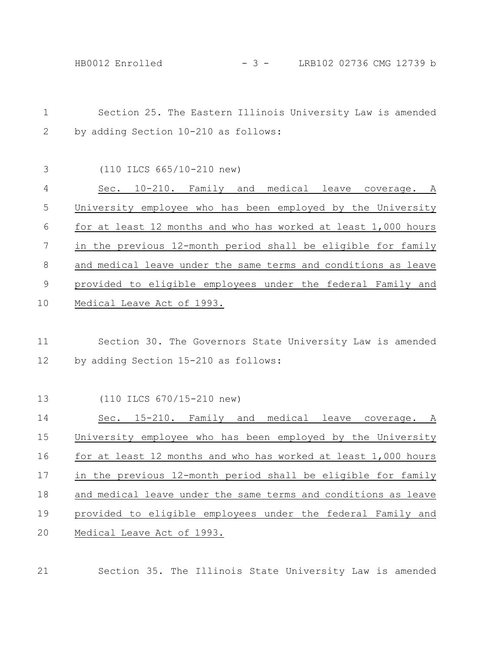| $\mathbf 1$ | Section 25. The Eastern Illinois University Law is amended                                        |
|-------------|---------------------------------------------------------------------------------------------------|
| 2           | by adding Section 10-210 as follows:                                                              |
| 3           | $(110$ ILCS 665/10-210 new)                                                                       |
| 4           | Sec. 10-210. Family and medical leave coverage. A                                                 |
| 5           | University employee who has been employed by the University                                       |
| 6           | for at least 12 months and who has worked at least 1,000 hours                                    |
| 7           | in the previous 12-month period shall be eligible for family                                      |
| $\,8\,$     | and medical leave under the same terms and conditions as leave                                    |
| 9           | provided to eligible employees under the federal Family and                                       |
| 10          | Medical Leave Act of 1993.                                                                        |
| 11<br>12    | Section 30. The Governors State University Law is amended<br>by adding Section 15-210 as follows: |
| 13          | (110 ILCS 670/15-210 new)                                                                         |
| 14          | Sec. 15-210. Family and medical leave coverage. A                                                 |
| 15          | University employee who has been employed by the University                                       |
| 16          | for at least 12 months and who has worked at least 1,000 hours                                    |
| 17          | in the previous 12-month period shall be eligible for family                                      |
| 18          | and medical leave under the same terms and conditions as leave                                    |
|             |                                                                                                   |
| 19          | provided to eligible employees under the federal Family and                                       |

21 Section 35. The Illinois State University Law is amended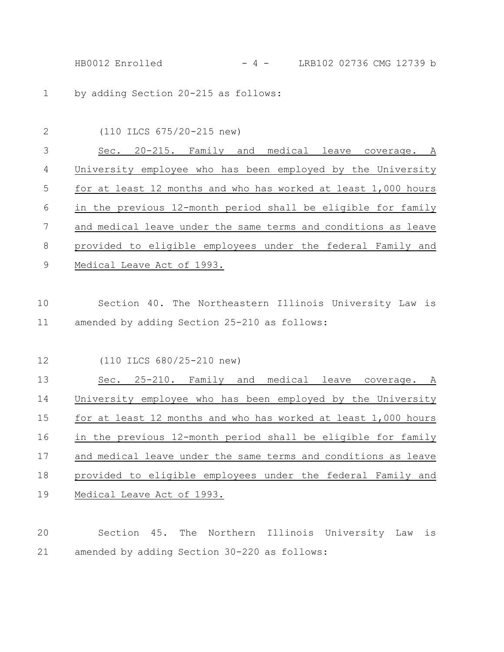HB0012 Enrolled - 4 - LRB102 02736 CMG 12739 b

by adding Section 20-215 as follows: 1

| $\overline{2}$ | (110 ILCS 675/20-215 new)                                      |
|----------------|----------------------------------------------------------------|
| 3              | Sec. 20-215. Family and medical leave coverage. A              |
| 4              | University employee who has been employed by the University    |
| 5              | for at least 12 months and who has worked at least 1,000 hours |
| 6              | in the previous 12-month period shall be eligible for family   |
| 7              | and medical leave under the same terms and conditions as leave |
| 8              | provided to eligible employees under the federal Family and    |
| 9              | Medical Leave Act of 1993.                                     |
|                |                                                                |
| 10             | Section 40. The Northeastern Illinois University Law is        |

amended by adding Section 25-210 as follows: 10 11

(110 ILCS 680/25-210 new) 12

Sec. 25-210. Family and medical leave coverage. A University employee who has been employed by the University for at least 12 months and who has worked at least 1,000 hours in the previous 12-month period shall be eligible for family and medical leave under the same terms and conditions as leave provided to eligible employees under the federal Family and Medical Leave Act of 1993. 13 14 15 16 17 18 19

Section 45. The Northern Illinois University Law is amended by adding Section 30-220 as follows: 20 21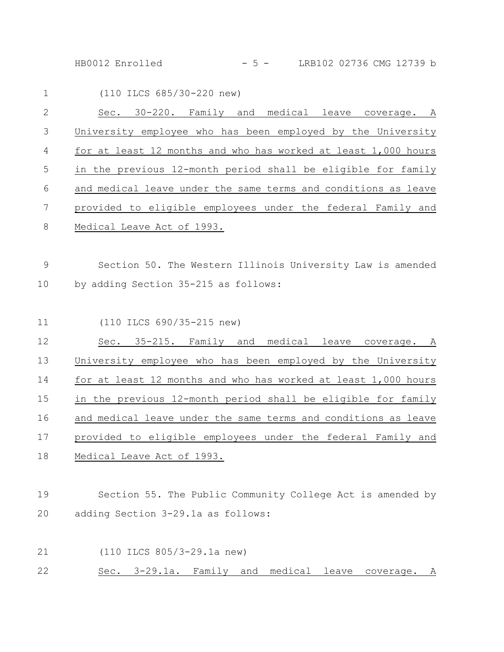HB0012 Enrolled - 5 - LRB102 02736 CMG 12739 b

| $\mathbf 1$    | (110 ILCS 685/30-220 new)                                      |
|----------------|----------------------------------------------------------------|
| $\mathbf{2}$   | Sec. 30-220. Family and medical leave coverage. A              |
| 3              | University employee who has been employed by the University    |
| $\overline{4}$ | for at least 12 months and who has worked at least 1,000 hours |
| 5              | in the previous 12-month period shall be eligible for family   |
| 6              | and medical leave under the same terms and conditions as leave |
| $\overline{7}$ | provided to eligible employees under the federal Family and    |
| $8\,$          | Medical Leave Act of 1993.                                     |
| 9              | Section 50. The Western Illinois University Law is amended     |
| 10             | by adding Section 35-215 as follows:                           |
| 11             | (110 ILCS 690/35-215 new)                                      |
| 12             | Sec. 35-215. Family and medical leave coverage. A              |
| 13             | University employee who has been employed by the University    |
| 14             | for at least 12 months and who has worked at least 1,000 hours |
| 15             | in the previous 12-month period shall be eligible for family   |

and medical leave under the same terms and conditions as leave provided to eligible employees under the federal Family and Medical Leave Act of 1993. 16 17 18

Section 55. The Public Community College Act is amended by adding Section 3-29.1a as follows: 19 20

(110 ILCS 805/3-29.1a new) Sec. 3-29.1a. Family and medical leave coverage. A 21 22